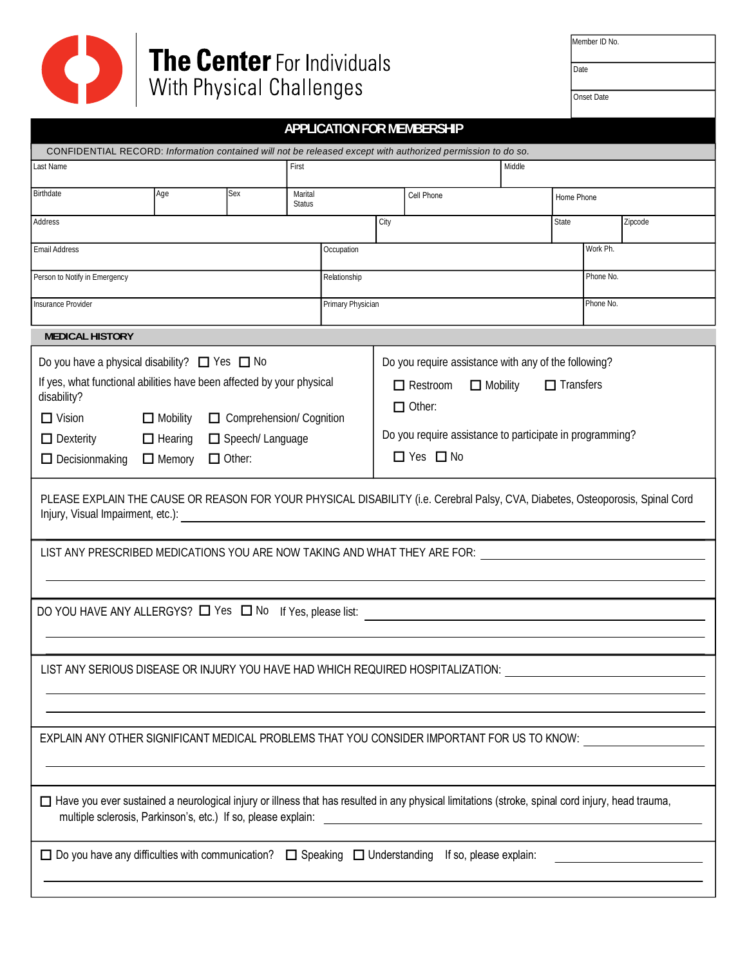

| Member ID No. |  |  |
|---------------|--|--|
|               |  |  |

| Date |  |  |
|------|--|--|
|      |  |  |

Onset Date

| <b>APPLICATION FOR MEMBERSHIP</b>                                                                                                                                                                                                                                                                                                                                                                                                                                                                                                                          |     |     |                          |                   |      |            |  |            |           |         |
|------------------------------------------------------------------------------------------------------------------------------------------------------------------------------------------------------------------------------------------------------------------------------------------------------------------------------------------------------------------------------------------------------------------------------------------------------------------------------------------------------------------------------------------------------------|-----|-----|--------------------------|-------------------|------|------------|--|------------|-----------|---------|
| CONFIDENTIAL RECORD: Information contained will not be released except with authorized permission to do so.                                                                                                                                                                                                                                                                                                                                                                                                                                                |     |     |                          |                   |      |            |  |            |           |         |
| Last Name                                                                                                                                                                                                                                                                                                                                                                                                                                                                                                                                                  |     |     | Middle<br>First          |                   |      |            |  |            |           |         |
| Birthdate                                                                                                                                                                                                                                                                                                                                                                                                                                                                                                                                                  | Age | Sex | Marital<br><b>Status</b> |                   |      | Cell Phone |  | Home Phone |           |         |
| Address                                                                                                                                                                                                                                                                                                                                                                                                                                                                                                                                                    |     |     |                          |                   | City |            |  | State      |           | Zipcode |
| <b>Email Address</b><br>Occupation                                                                                                                                                                                                                                                                                                                                                                                                                                                                                                                         |     |     |                          | Work Ph.          |      |            |  |            |           |         |
| Person to Notify in Emergency                                                                                                                                                                                                                                                                                                                                                                                                                                                                                                                              |     |     |                          | Relationship      |      |            |  |            | Phone No. |         |
| <b>Insurance Provider</b>                                                                                                                                                                                                                                                                                                                                                                                                                                                                                                                                  |     |     |                          | Primary Physician |      |            |  |            | Phone No. |         |
| <b>MEDICAL HISTORY</b>                                                                                                                                                                                                                                                                                                                                                                                                                                                                                                                                     |     |     |                          |                   |      |            |  |            |           |         |
| Do you have a physical disability? $\Box$ Yes $\Box$ No<br>Do you require assistance with any of the following?<br>If yes, what functional abilities have been affected by your physical<br>$\Box$ Transfers<br>$\Box$ Mobility<br>$\Box$ Restroom<br>disability?<br>$\Box$ Other:<br>$\Box$ Vision<br>Comprehension/ Cognition<br>$\Box$ Mobility<br>Do you require assistance to participate in programming?<br>$\Box$ Dexterity<br>$\Box$ Hearing<br>Speech/Language<br>$\Box$ Yes $\Box$ No<br>$\Box$ Other:<br>$\Box$ Decisionmaking<br>$\Box$ Memory |     |     |                          |                   |      |            |  |            |           |         |
| PLEASE EXPLAIN THE CAUSE OR REASON FOR YOUR PHYSICAL DISABILITY (i.e. Cerebral Palsy, CVA, Diabetes, Osteoporosis, Spinal Cord<br>Injury, Visual Impairment, etc.):<br>LIST ANY PRESCRIBED MEDICATIONS YOU ARE NOW TAKING AND WHAT THEY ARE FOR:                                                                                                                                                                                                                                                                                                           |     |     |                          |                   |      |            |  |            |           |         |
| DO YOU HAVE ANY ALLERGYS? $\Box$ Yes $\Box$ No If Yes, please list:                                                                                                                                                                                                                                                                                                                                                                                                                                                                                        |     |     |                          |                   |      |            |  |            |           |         |
| LIST ANY SERIOUS DISEASE OR INJURY YOU HAVE HAD WHICH REQUIRED HOSPITALIZATION:                                                                                                                                                                                                                                                                                                                                                                                                                                                                            |     |     |                          |                   |      |            |  |            |           |         |
| EXPLAIN ANY OTHER SIGNIFICANT MEDICAL PROBLEMS THAT YOU CONSIDER IMPORTANT FOR US TO KNOW:                                                                                                                                                                                                                                                                                                                                                                                                                                                                 |     |     |                          |                   |      |            |  |            |           |         |
| □ Have you ever sustained a neurological injury or illness that has resulted in any physical limitations (stroke, spinal cord injury, head trauma,<br>multiple sclerosis, Parkinson's, etc.) If so, please explain:<br><u> 1980 - Andrea Aonaichte ann an t-Aonaichte ann an t-Aonaichte ann an t-Aonaichte ann an t-Aonaichte ann an t-</u>                                                                                                                                                                                                               |     |     |                          |                   |      |            |  |            |           |         |
| □ Do you have any difficulties with communication? □ Speaking □ Understanding If so, please explain:                                                                                                                                                                                                                                                                                                                                                                                                                                                       |     |     |                          |                   |      |            |  |            |           |         |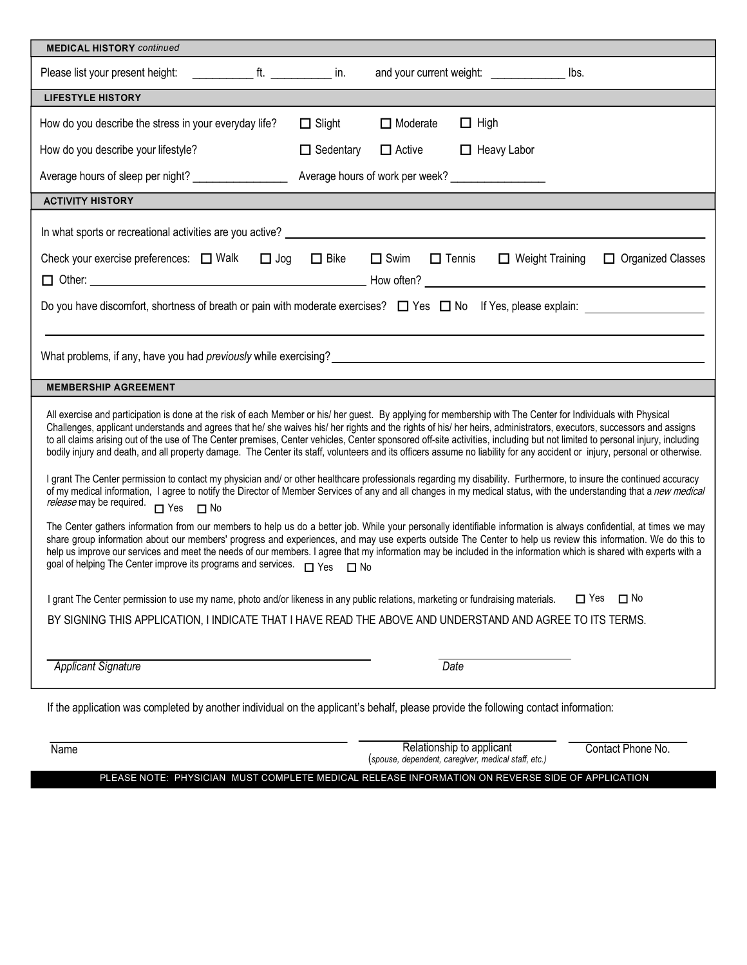| <b>MEDICAL HISTORY</b> continued                                                                                                                                                                                                                                                                                                                                                                                                                                                                                                                                                                                                                                                                   |                  |                                                   |                    |                        |                          |
|----------------------------------------------------------------------------------------------------------------------------------------------------------------------------------------------------------------------------------------------------------------------------------------------------------------------------------------------------------------------------------------------------------------------------------------------------------------------------------------------------------------------------------------------------------------------------------------------------------------------------------------------------------------------------------------------------|------------------|---------------------------------------------------|--------------------|------------------------|--------------------------|
| Please list your present height:                                                                                                                                                                                                                                                                                                                                                                                                                                                                                                                                                                                                                                                                   |                  | and your current weight: _______________          |                    | lbs.                   |                          |
| <b>LIFESTYLE HISTORY</b>                                                                                                                                                                                                                                                                                                                                                                                                                                                                                                                                                                                                                                                                           |                  |                                                   |                    |                        |                          |
| How do you describe the stress in your everyday life?                                                                                                                                                                                                                                                                                                                                                                                                                                                                                                                                                                                                                                              | $\Box$ Slight    | $\Box$ Moderate                                   | $\Box$ High        |                        |                          |
| How do you describe your lifestyle?                                                                                                                                                                                                                                                                                                                                                                                                                                                                                                                                                                                                                                                                | $\Box$ Sedentary | $\Box$ Active                                     | $\Box$ Heavy Labor |                        |                          |
| Average hours of sleep per night? ____________________                                                                                                                                                                                                                                                                                                                                                                                                                                                                                                                                                                                                                                             |                  | Average hours of work per week? _________________ |                    |                        |                          |
| <b>ACTIVITY HISTORY</b>                                                                                                                                                                                                                                                                                                                                                                                                                                                                                                                                                                                                                                                                            |                  |                                                   |                    |                        |                          |
| In what sports or recreational activities are you active? Letter and the state of the state of the state of the state of the state of the state of the state of the state of the state of the state of the state of the state<br>Check your exercise preferences: □ Walk □ Jog                                                                                                                                                                                                                                                                                                                                                                                                                     | $\Box$ Bike      | $\Box$ Swim<br>$\Box$ Tennis                      |                    | $\Box$ Weight Training | $\Box$ Organized Classes |
|                                                                                                                                                                                                                                                                                                                                                                                                                                                                                                                                                                                                                                                                                                    |                  |                                                   |                    |                        |                          |
| Do you have discomfort, shortness of breath or pain with moderate exercises? $\Box$ Yes $\Box$ No If Yes, please explain:                                                                                                                                                                                                                                                                                                                                                                                                                                                                                                                                                                          |                  |                                                   |                    |                        |                          |
|                                                                                                                                                                                                                                                                                                                                                                                                                                                                                                                                                                                                                                                                                                    |                  |                                                   |                    |                        |                          |
| What problems, if any, have you had <i>previously</i> while exercising? example the state of the state of the state of the state of the state of the state of the state of the state of the state of the state of the state of the                                                                                                                                                                                                                                                                                                                                                                                                                                                                 |                  |                                                   |                    |                        |                          |
| <b>MEMBERSHIP AGREEMENT</b>                                                                                                                                                                                                                                                                                                                                                                                                                                                                                                                                                                                                                                                                        |                  |                                                   |                    |                        |                          |
| All exercise and participation is done at the risk of each Member or his/ her guest. By applying for membership with The Center for Individuals with Physical<br>Challenges, applicant understands and agrees that he/ she waives his/ her rights and the rights of his/ her heirs, administrators, executors, successors and assigns<br>to all claims arising out of the use of The Center premises, Center vehicles, Center sponsored off-site activities, including but not limited to personal injury, including<br>bodily injury and death, and all property damage. The Center its staff, volunteers and its officers assume no liability for any accident or injury, personal or otherwise. |                  |                                                   |                    |                        |                          |
| I grant The Center permission to contact my physician and/ or other healthcare professionals regarding my disability. Furthermore, to insure the continued accuracy<br>of my medical information, I agree to notify the Director of Member Services of any and all changes in my medical status, with the understanding that a new medical<br>release may be required.<br>$\Box$ Yes $\Box$ No                                                                                                                                                                                                                                                                                                     |                  |                                                   |                    |                        |                          |
| The Center gathers information from our members to help us do a better job. While your personally identifiable information is always confidential, at times we may<br>share group information about our members' progress and experiences, and may use experts outside The Center to help us review this information. We do this to<br>help us improve our services and meet the needs of our members. I agree that my information may be included in the information which is shared with experts with a<br>goal of helping The Center improve its programs and services. □ Yes □ No                                                                                                              |                  |                                                   |                    |                        |                          |
| I grant The Center permission to use my name, photo and/or likeness in any public relations, marketing or fundraising materials.                                                                                                                                                                                                                                                                                                                                                                                                                                                                                                                                                                   |                  |                                                   |                    | $\Box$ Yes             | $\square$ No             |
| BY SIGNING THIS APPLICATION, I INDICATE THAT I HAVE READ THE ABOVE AND UNDERSTAND AND AGREE TO ITS TERMS.                                                                                                                                                                                                                                                                                                                                                                                                                                                                                                                                                                                          |                  |                                                   |                    |                        |                          |
|                                                                                                                                                                                                                                                                                                                                                                                                                                                                                                                                                                                                                                                                                                    |                  |                                                   |                    |                        |                          |
| <b>Applicant Signature</b>                                                                                                                                                                                                                                                                                                                                                                                                                                                                                                                                                                                                                                                                         |                  | Date                                              |                    |                        |                          |
| If the application was completed by another individual on the applicant's behalf, please provide the following contact information:                                                                                                                                                                                                                                                                                                                                                                                                                                                                                                                                                                |                  |                                                   |                    |                        |                          |

1DPH 1DPH 5HODG 5HODWDFD 5HODWDFD 5HODWDFD 5HODWDFDCant 5HODWDFDCant 5HODWDF 1DPHS 5HODWDFDCALLSTDGGGHQSHAT 5HODW<br>A Spouse, dependent, caregiver, medical staff, etc.)

PLEASE NOTE: PHYSICIAN MUST COMPLETE MEDICAL RELEASE INFORMATION ON REVERSE SIDE OF APPLICATION